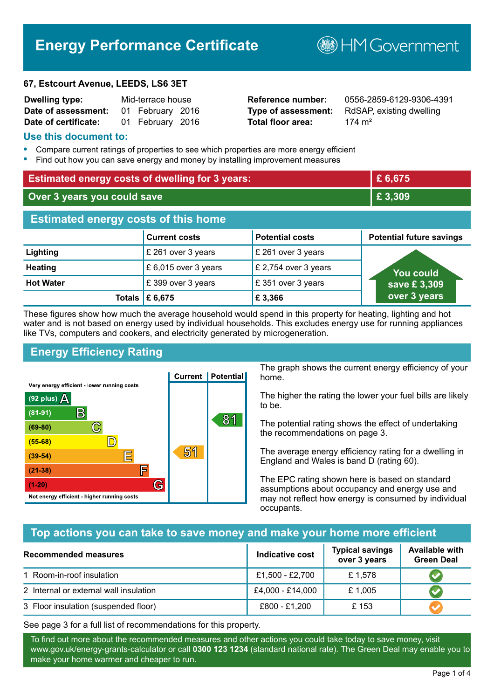# **Energy Performance Certificate**

#### **67, Estcourt Avenue, LEEDS, LS6 3ET**

| <b>Dwelling type:</b> | Mid-terrace house |                  |  |
|-----------------------|-------------------|------------------|--|
| Date of assessment:   |                   | 01 February 2016 |  |
| Date of certificate:  |                   | 01 February 2016 |  |

**Total floor area:** 174 m<sup>2</sup>

**Reference number:** 0556-2859-6129-9306-4391 **Type of assessment:** RdSAP, existing dwelling

**BHM Government** 

## **Use this document to:**

- **•** Compare current ratings of properties to see which properties are more energy efficient
- **•** Find out how you can save energy and money by installing improvement measures

| <b>Estimated energy costs of dwelling for 3 years:</b> |                           |                        | £ 6,675                         |
|--------------------------------------------------------|---------------------------|------------------------|---------------------------------|
| Over 3 years you could save                            |                           | £ 3,309                |                                 |
| <b>Estimated energy costs of this home</b>             |                           |                        |                                 |
|                                                        | <b>Current costs</b>      | <b>Potential costs</b> | <b>Potential future savings</b> |
| Lighting                                               | £ 261 over 3 years        | £ 261 over 3 years     |                                 |
| <b>Heating</b>                                         | £ 6,015 over 3 years      | £ 2,754 over 3 years   | You could                       |
| <b>Hot Water</b>                                       | £399 over 3 years         | £ 351 over 3 years     | save £3,309                     |
|                                                        | Totals $\mathsf{E}$ 6,675 | £3,366                 | over 3 years                    |

These figures show how much the average household would spend in this property for heating, lighting and hot water and is not based on energy used by individual households. This excludes energy use for running appliances like TVs, computers and cookers, and electricity generated by microgeneration.

# **Energy Efficiency Rating**



The graph shows the current energy efficiency of your home.

The higher the rating the lower your fuel bills are likely to be.

The potential rating shows the effect of undertaking the recommendations on page 3.

The average energy efficiency rating for a dwelling in England and Wales is band D (rating 60).

The EPC rating shown here is based on standard assumptions about occupancy and energy use and may not reflect how energy is consumed by individual occupants.

# **Top actions you can take to save money and make your home more efficient**

| <b>Recommended measures</b>            | Indicative cost  | <b>Typical savings</b><br>over 3 years | <b>Available with</b><br><b>Green Deal</b> |
|----------------------------------------|------------------|----------------------------------------|--------------------------------------------|
| 1 Room-in-roof insulation              | £1,500 - £2,700  | £1,578                                 |                                            |
| 2 Internal or external wall insulation | £4,000 - £14,000 | £1,005                                 |                                            |
| 3 Floor insulation (suspended floor)   | £800 - £1,200    | £153                                   |                                            |

See page 3 for a full list of recommendations for this property.

To find out more about the recommended measures and other actions you could take today to save money, visit www.gov.uk/energy-grants-calculator or call **0300 123 1234** (standard national rate). The Green Deal may enable you to make your home warmer and cheaper to run.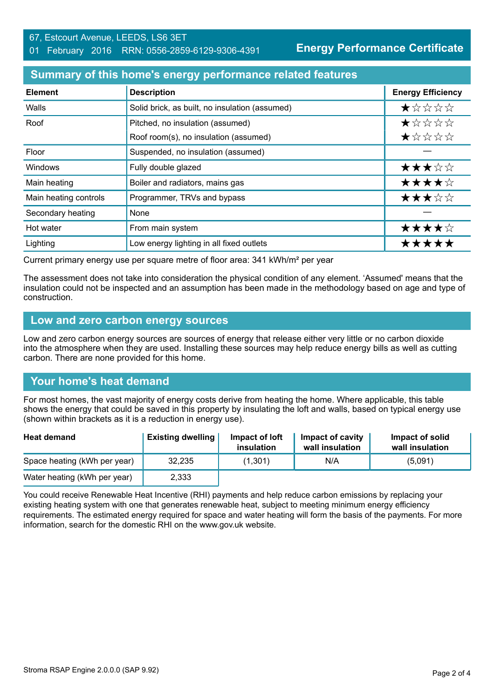## **Summary of this home's energy performance related features**

| <b>Element</b>        | <b>Description</b>                             | <b>Energy Efficiency</b> |
|-----------------------|------------------------------------------------|--------------------------|
| Walls                 | Solid brick, as built, no insulation (assumed) | *****                    |
| Roof                  | Pitched, no insulation (assumed)               | *****                    |
|                       | Roof room(s), no insulation (assumed)          | ★☆☆☆☆                    |
| Floor                 | Suspended, no insulation (assumed)             |                          |
| <b>Windows</b>        | Fully double glazed                            | ★★★☆☆                    |
| Main heating          | Boiler and radiators, mains gas                | ★★★★☆                    |
| Main heating controls | Programmer, TRVs and bypass                    | ★★★☆☆                    |
| Secondary heating     | None                                           |                          |
| Hot water             | From main system                               | ★★★★☆                    |
| Lighting              | Low energy lighting in all fixed outlets       | *****                    |

Current primary energy use per square metre of floor area: 341 kWh/m² per year

The assessment does not take into consideration the physical condition of any element. 'Assumed' means that the insulation could not be inspected and an assumption has been made in the methodology based on age and type of construction.

#### **Low and zero carbon energy sources**

Low and zero carbon energy sources are sources of energy that release either very little or no carbon dioxide into the atmosphere when they are used. Installing these sources may help reduce energy bills as well as cutting carbon. There are none provided for this home.

# **Your home's heat demand**

For most homes, the vast majority of energy costs derive from heating the home. Where applicable, this table shows the energy that could be saved in this property by insulating the loft and walls, based on typical energy use (shown within brackets as it is a reduction in energy use).

| <b>Heat demand</b>           | <b>Existing dwelling</b> | Impact of loft<br>insulation | Impact of cavity<br>wall insulation | Impact of solid<br>wall insulation |
|------------------------------|--------------------------|------------------------------|-------------------------------------|------------------------------------|
| Space heating (kWh per year) | 32.235                   | (1,301)                      | N/A                                 | (5,091)                            |
| Water heating (kWh per year) | 2,333                    |                              |                                     |                                    |

You could receive Renewable Heat Incentive (RHI) payments and help reduce carbon emissions by replacing your existing heating system with one that generates renewable heat, subject to meeting minimum energy efficiency requirements. The estimated energy required for space and water heating will form the basis of the payments. For more information, search for the domestic RHI on the www.gov.uk website.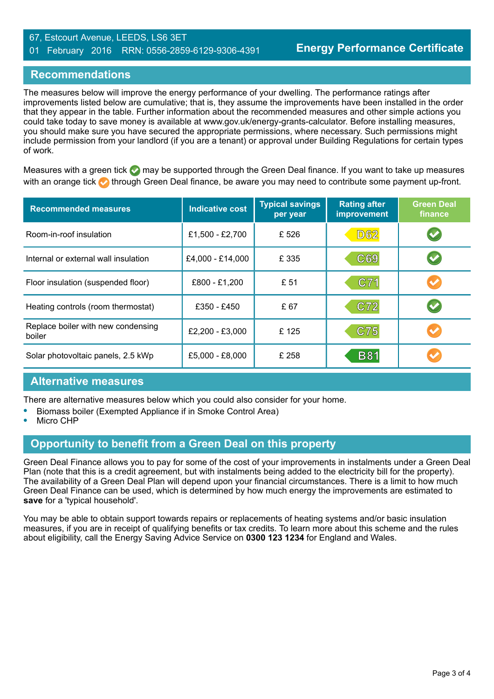#### 67, Estcourt Avenue, LEEDS, LS6 3ET 01 February 2016 RRN: 0556-2859-6129-9306-4391

# **Recommendations**

The measures below will improve the energy performance of your dwelling. The performance ratings after improvements listed below are cumulative; that is, they assume the improvements have been installed in the order that they appear in the table. Further information about the recommended measures and other simple actions you could take today to save money is available at www.gov.uk/energy-grants-calculator. Before installing measures, you should make sure you have secured the appropriate permissions, where necessary. Such permissions might include permission from your landlord (if you are a tenant) or approval under Building Regulations for certain types of work.

Measures with a green tick  $\bullet$  may be supported through the Green Deal finance. If you want to take up measures with an orange tick **th** through Green Deal finance, be aware you may need to contribute some payment up-front.

| <b>Recommended measures</b>                  | Indicative cost  | <b>Typical savings</b><br>per year | <b>Rating after</b><br><b>improvement</b> | <b>Green Deal</b><br>finance |
|----------------------------------------------|------------------|------------------------------------|-------------------------------------------|------------------------------|
| Room-in-roof insulation                      | £1,500 - £2,700  | £526                               | <b>D62</b>                                | $\blacktriangledown$         |
| Internal or external wall insulation         | £4,000 - £14,000 | £ 335                              | C69                                       | $\blacktriangledown$         |
| Floor insulation (suspended floor)           | £800 - £1,200    | £ 51                               | C71                                       |                              |
| Heating controls (room thermostat)           | £350 - £450      | £67                                | C72                                       | $\blacktriangledown$         |
| Replace boiler with new condensing<br>boiler | £2,200 - £3,000  | £125                               | C75                                       |                              |
| Solar photovoltaic panels, 2.5 kWp           | £5,000 - £8,000  | £ 258                              | <b>B81</b>                                |                              |

# **Alternative measures**

There are alternative measures below which you could also consider for your home.

- **•** Biomass boiler (Exempted Appliance if in Smoke Control Area)
- **•** Micro CHP

# **Opportunity to benefit from a Green Deal on this property**

Green Deal Finance allows you to pay for some of the cost of your improvements in instalments under a Green Deal Plan (note that this is a credit agreement, but with instalments being added to the electricity bill for the property). The availability of a Green Deal Plan will depend upon your financial circumstances. There is a limit to how much Green Deal Finance can be used, which is determined by how much energy the improvements are estimated to **save** for a 'typical household'.

You may be able to obtain support towards repairs or replacements of heating systems and/or basic insulation measures, if you are in receipt of qualifying benefits or tax credits. To learn more about this scheme and the rules about eligibility, call the Energy Saving Advice Service on **0300 123 1234** for England and Wales.